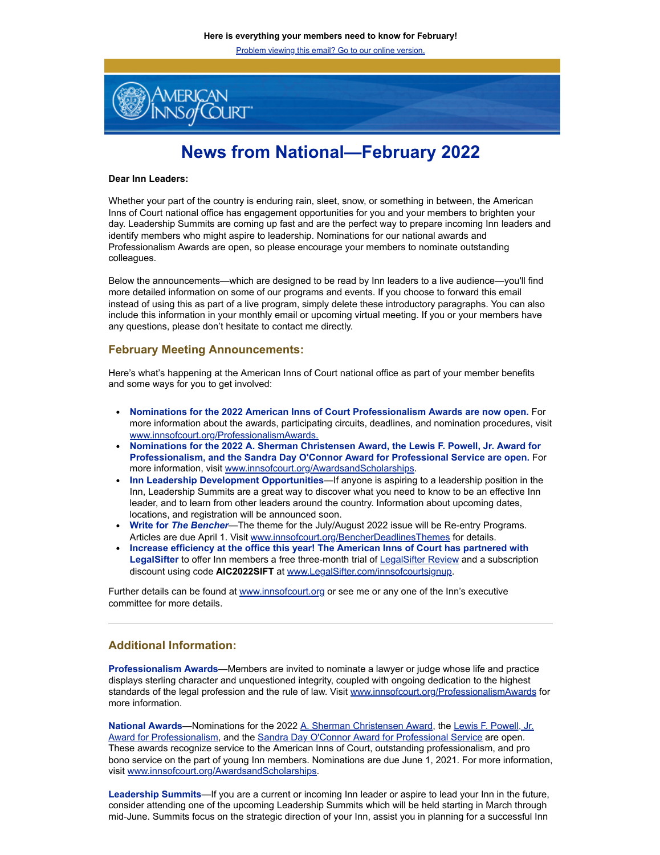Problem viewing this email? Go to our online version.



## **News from National—February 2022**

## **Dear Inn Leaders:**

Whether your part of the country is enduring rain, sleet, snow, or something in between, the American Inns of Court national office has engagement opportunities for you and your members to brighten your day. Leadership Summits are coming up fast and are the perfect way to prepare incoming Inn leaders and identify members who might aspire to leadership. Nominations for our national awards and Professionalism Awards are open, so please encourage your members to nominate outstanding colleagues.

Below the announcements—which are designed to be read by Inn leaders to a live audience—you'll find more detailed information on some of our programs and events. If you choose to forward this email instead of using this as part of a live program, simply delete these introductory paragraphs. You can also include this information in your monthly email or upcoming virtual meeting. If you or your members have any questions, please don't hesitate to contact me directly.

## **February Meeting Announcements:**

Here's what's happening at the American Inns of Court national office as part of your member benefits and some ways for you to get involved:

- **Nominations for the 2022 American Inns of Court Professionalism Awards are now open.** For more information about the awards, participating circuits, deadlines, and nomination procedures, visit [www.innsofcourt.org/ProfessionalismAwards.](http://www.innsofcourt.org/ProfessionalismAwards)
- **Nominations for the 2022 A. Sherman Christensen Award, the Lewis F. Powell, Jr. Award for Professionalism, and the Sandra Day O'Connor Award for Professional Service are open.** For more information, visit [www.innsofcourt.org/AwardsandScholarships](http://www.innsofcourt.org/AwardsandScholarships).
- **Inn Leadership Development Opportunities**—If anyone is aspiring to a leadership position in the Inn, Leadership Summits are a great way to discover what you need to know to be an effective Inn leader, and to learn from other leaders around the country. Information about upcoming dates, locations, and registration will be announced soon.
- **Write for** *The Bencher*—The theme for the July/August 2022 issue will be Re-entry Programs. Articles are due April 1. Visit [www.innsofcourt.org/BencherDeadlinesThemes](http://www.innsofcourt.org/BencherDeadlinesThemes) for details.
- **Increase efficiency at the office this year! The American Inns of Court has partnered with** LegalSifter to offer Inn members a free three-month trial of [LegalSifter Review](https://www.legalsifter.com/legalsifter-product) and a subscription discount using code **AIC2022SIFT** at [www.LegalSifter.com/innsofcourtsignup](http://www.legalsifter.com/innsofcourtsignup).

Further details can be found at [www.innsofcourt.org](http://www.innsofcourt.org/) or see me or any one of the Inn's executive committee for more details.

## **Additional Information:**

**Professionalism Awards**—Members are invited to nominate a lawyer or judge whose life and practice displays sterling character and unquestioned integrity, coupled with ongoing dedication to the highest standards of the legal profession and the rule of law. Visit [www.innsofcourt.org/ProfessionalismAwards](http://www.innsofcourt.org/ProfessionalismAwards) for more information.

**National Awards**—Nominations for the 2022 [A. Sherman Christensen Award](https://www.innsofcourt.org/AIC/Awards_and_Scholarships/A_Sherman_Christensen_Award/AIC/Awards_and_Scholarships/A_Sherman_Christensen_Award/A_Sherman_Christensen_Award.aspx?hkey=854597d7-e0c8-4372-85f1-b4faa8c68459&_zs=R2isN1&_zl=5XLG6), the Lewis F. Powell, Jr. [Award for Professionalism, and the Sandra Day O'Connor Award for Professional Service are open.](https://www.innsofcourt.org/AIC/Awards_and_Scholarships/Lewis_F_Powell_Jr_Award/AIC/Awards_and_Scholarships/Lewis_F_Powell_Jr_Award/Lewis_F_Powell_Jr_Award.aspx?hkey=5f54dac2-08a6-43d1-9b01-a472e0afc7bf&_zs=R2isN1&_zl=6XLG6) These awards recognize service to the American Inns of Court, outstanding professionalism, and pro bono service on the part of young Inn members. Nominations are due June 1, 2021. For more information, visit [www.innsofcourt.org/AwardsandScholarships.](http://www.innsofcourt.org/AwardsandScholarships)

**Leadership Summits**—If you are a current or incoming Inn leader or aspire to lead your Inn in the future, consider attending one of the upcoming Leadership Summits which will be held starting in March through mid-June. Summits focus on the strategic direction of your Inn, assist you in planning for a successful Inn